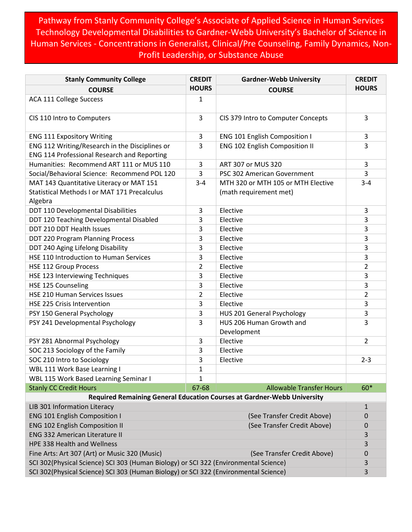Pathway from Stanly Community College's Associate of Applied Science in Human Services Technology Developmental Disabilities to Gardner-Webb University's Bachelor of Science in Human Services - Concentrations in Generalist, Clinical/Pre Counseling, Family Dynamics, Non-Profit Leadership, or Substance Abuse

| <b>Stanly Community College</b>                                                                                                                                                                    | <b>CREDIT</b>  | <b>Gardner-Webb University</b>                                          | <b>CREDIT</b>           |
|----------------------------------------------------------------------------------------------------------------------------------------------------------------------------------------------------|----------------|-------------------------------------------------------------------------|-------------------------|
| <b>COURSE</b>                                                                                                                                                                                      | <b>HOURS</b>   | <b>COURSE</b>                                                           | <b>HOURS</b>            |
| ACA 111 College Success                                                                                                                                                                            | 1              |                                                                         |                         |
| CIS 110 Intro to Computers                                                                                                                                                                         | 3              | CIS 379 Intro to Computer Concepts                                      | 3                       |
| <b>ENG 111 Expository Writing</b>                                                                                                                                                                  | 3              | <b>ENG 101 English Composition I</b>                                    | 3                       |
| ENG 112 Writing/Research in the Disciplines or                                                                                                                                                     | 3              | ENG 102 English Composition II                                          | 3                       |
| ENG 114 Professional Research and Reporting                                                                                                                                                        |                |                                                                         |                         |
| Humanities: Recommend ART 111 or MUS 110                                                                                                                                                           | 3              | ART 307 or MUS 320                                                      | 3                       |
| Social/Behavioral Science: Recommend POL 120                                                                                                                                                       | 3              | PSC 302 American Government                                             | 3                       |
| MAT 143 Quantitative Literacy or MAT 151                                                                                                                                                           | $3 - 4$        | MTH 320 or MTH 105 or MTH Elective                                      | $3 - 4$                 |
| <b>Statistical Methods I or MAT 171 Precalculus</b><br>Algebra                                                                                                                                     |                | (math requirement met)                                                  |                         |
| DDT 110 Developmental Disabilities                                                                                                                                                                 | 3              | Elective                                                                | 3                       |
| DDT 120 Teaching Developmental Disabled                                                                                                                                                            | 3              | Elective                                                                | 3                       |
| DDT 210 DDT Health Issues                                                                                                                                                                          | 3              | Elective                                                                | 3                       |
| DDT 220 Program Planning Process                                                                                                                                                                   | 3              | Elective                                                                | 3                       |
| DDT 240 Aging Lifelong Disability                                                                                                                                                                  | 3              | Elective                                                                | 3                       |
| HSE 110 Introduction to Human Services                                                                                                                                                             | 3              | Elective                                                                | 3                       |
| <b>HSE 112 Group Process</b>                                                                                                                                                                       | $\overline{2}$ | Elective                                                                | $\overline{\mathbf{c}}$ |
| HSE 123 Interviewing Techniques                                                                                                                                                                    | 3              | Elective                                                                | 3                       |
| HSE 125 Counseling                                                                                                                                                                                 | 3              | Elective                                                                | 3                       |
| HSE 210 Human Services Issues                                                                                                                                                                      | 2              | Elective                                                                | 2                       |
| <b>HSE 225 Crisis Intervention</b>                                                                                                                                                                 | 3              | Elective                                                                | 3                       |
| PSY 150 General Psychology                                                                                                                                                                         | 3              | HUS 201 General Psychology                                              | 3                       |
| PSY 241 Developmental Psychology                                                                                                                                                                   | 3              | HUS 206 Human Growth and<br>Development                                 | 3                       |
| PSY 281 Abnormal Psychology                                                                                                                                                                        | 3              | Elective                                                                | 2                       |
| SOC 213 Sociology of the Family                                                                                                                                                                    | 3              | Elective                                                                |                         |
| SOC 210 Intro to Sociology                                                                                                                                                                         | 3              | Elective                                                                | $2 - 3$                 |
| WBL 111 Work Base Learning I                                                                                                                                                                       | 1              |                                                                         |                         |
| WBL 115 Work Based Learning Seminar I                                                                                                                                                              | 1              |                                                                         |                         |
| <b>Stanly CC Credit Hours</b>                                                                                                                                                                      | 67-68          | <b>Allowable Transfer Hours</b>                                         | 60*                     |
|                                                                                                                                                                                                    |                | Required Remaining General Education Courses at Gardner-Webb University |                         |
| LIB 301 Information Literacy                                                                                                                                                                       |                |                                                                         | 1                       |
| <b>ENG 101 English Composition I</b>                                                                                                                                                               |                | (See Transfer Credit Above)                                             | 0                       |
| <b>ENG 102 English Composition II</b>                                                                                                                                                              |                | (See Transfer Credit Above)                                             | 0                       |
|                                                                                                                                                                                                    |                |                                                                         | 3                       |
|                                                                                                                                                                                                    |                |                                                                         | 3                       |
| Fine Arts: Art 307 (Art) or Music 320 (Music)                                                                                                                                                      |                |                                                                         | 0                       |
| <b>ENG 332 American Literature II</b><br><b>HPE 338 Health and Wellness</b><br>(See Transfer Credit Above)<br>SCI 302(Physical Science) SCI 303 (Human Biology) or SCI 322 (Environmental Science) |                | 3                                                                       |                         |
| SCI 302(Physical Science) SCI 303 (Human Biology) or SCI 322 (Environmental Science)                                                                                                               |                | 3                                                                       |                         |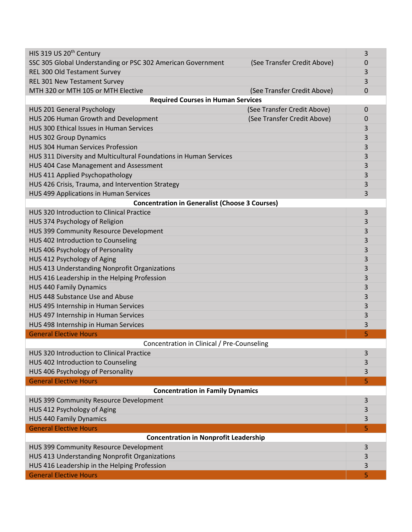| HIS 319 US 20 <sup>th</sup> Century                                                        | 3 |  |  |
|--------------------------------------------------------------------------------------------|---|--|--|
| SSC 305 Global Understanding or PSC 302 American Government<br>(See Transfer Credit Above) | 0 |  |  |
| REL 300 Old Testament Survey                                                               | 3 |  |  |
| REL 301 New Testament Survey                                                               | 3 |  |  |
| MTH 320 or MTH 105 or MTH Elective<br>(See Transfer Credit Above)                          | 0 |  |  |
| <b>Required Courses in Human Services</b>                                                  |   |  |  |
| (See Transfer Credit Above)<br>HUS 201 General Psychology                                  | 0 |  |  |
| HUS 206 Human Growth and Development<br>(See Transfer Credit Above)                        | 0 |  |  |
| HUS 300 Ethical Issues in Human Services                                                   | 3 |  |  |
| <b>HUS 302 Group Dynamics</b>                                                              | 3 |  |  |
| <b>HUS 304 Human Services Profession</b>                                                   | 3 |  |  |
| HUS 311 Diversity and Multicultural Foundations in Human Services                          | 3 |  |  |
| HUS 404 Case Management and Assessment                                                     | 3 |  |  |
| HUS 411 Applied Psychopathology                                                            | 3 |  |  |
| HUS 426 Crisis, Trauma, and Intervention Strategy                                          | 3 |  |  |
| HUS 499 Applications in Human Services                                                     | 3 |  |  |
| <b>Concentration in Generalist (Choose 3 Courses)</b>                                      |   |  |  |
| <b>HUS 320 Introduction to Clinical Practice</b>                                           | 3 |  |  |
| HUS 374 Psychology of Religion                                                             | 3 |  |  |
| HUS 399 Community Resource Development                                                     | 3 |  |  |
| HUS 402 Introduction to Counseling                                                         | 3 |  |  |
| HUS 406 Psychology of Personality                                                          | 3 |  |  |
| HUS 412 Psychology of Aging                                                                | 3 |  |  |
| HUS 413 Understanding Nonprofit Organizations                                              | 3 |  |  |
| HUS 416 Leadership in the Helping Profession                                               | 3 |  |  |
| <b>HUS 440 Family Dynamics</b>                                                             | 3 |  |  |
| HUS 448 Substance Use and Abuse                                                            | 3 |  |  |
| HUS 495 Internship in Human Services                                                       | 3 |  |  |
| HUS 497 Internship in Human Services                                                       |   |  |  |
| HUS 498 Internship in Human Services                                                       | 3 |  |  |
| <b>General Elective Hours</b>                                                              | 5 |  |  |
| Concentration in Clinical / Pre-Counseling                                                 |   |  |  |
| HUS 320 Introduction to Clinical Practice                                                  | 3 |  |  |
| HUS 402 Introduction to Counseling                                                         | 3 |  |  |
| HUS 406 Psychology of Personality                                                          | 3 |  |  |
| <b>General Elective Hours</b>                                                              | 5 |  |  |
| <b>Concentration in Family Dynamics</b>                                                    |   |  |  |
| HUS 399 Community Resource Development                                                     | 3 |  |  |
| HUS 412 Psychology of Aging                                                                | 3 |  |  |
| <b>HUS 440 Family Dynamics</b>                                                             |   |  |  |
| <b>General Elective Hours</b>                                                              | 5 |  |  |
| <b>Concentration in Nonprofit Leadership</b>                                               |   |  |  |
| HUS 399 Community Resource Development                                                     | 3 |  |  |
| HUS 413 Understanding Nonprofit Organizations                                              |   |  |  |
| HUS 416 Leadership in the Helping Profession                                               | 3 |  |  |
| <b>General Elective Hours</b>                                                              | 5 |  |  |